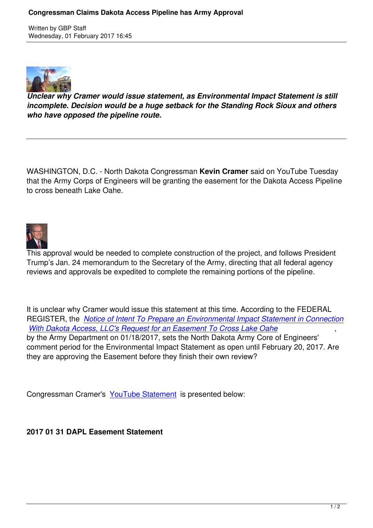

Written by GBP Staff Staff Staff Staff Staff Staff Staff Staff Staff Staff Staff Staff Staff Staff Staff Staff

*Unclear why Cramer would issue statement, as Environmental Impact Statement is still incomplete. Decision would be a huge setback for the Standing Rock Sioux and others who have opposed the pipeline route.*

WASHINGTON, D.C. - North Dakota Congressman **Kevin Cramer** said on YouTube Tuesday that the Army Corps of Engineers will be granting the easement for the Dakota Access Pipeline to cross beneath Lake Oahe.



This approval would be needed to complete construction of the project, and follows President Trump's Jan. 24 memorandum to the Secretary of the Army, directing that all federal agency reviews and approvals be expedited to complete the remaining portions of the pipeline.

It is unclear why Cramer would issue this statement at this time. According to the FEDERAL REGISTER, the *Notice of Intent To Prepare an Environmental Impact Statement in Connection With Dakota Access, LLC's Request for an Easement To Cross Lake Oahe* by the Army Department on 01/18/2017, sets the North Dakota Army Core of Engineers' comment period [for the Environmental Impact Statement as open until February 20, 2017. Are](https://www.federalregister.gov/documents/2017/01/18/2017-00937/notice-of-intent-to-prepare-an-environmental-impact-statement-in-connection-with-dakota-access-llcs) [they are approving the Easement before they finish their own review?](https://www.federalregister.gov/documents/2017/01/18/2017-00937/notice-of-intent-to-prepare-an-environmental-impact-statement-in-connection-with-dakota-access-llcs)

Congressman Cramer's YouTube Statement is presented below:

**2017 01 31 DAPL Ease[ment Statement](https://youtu.be/OObmUa4nkqs)**